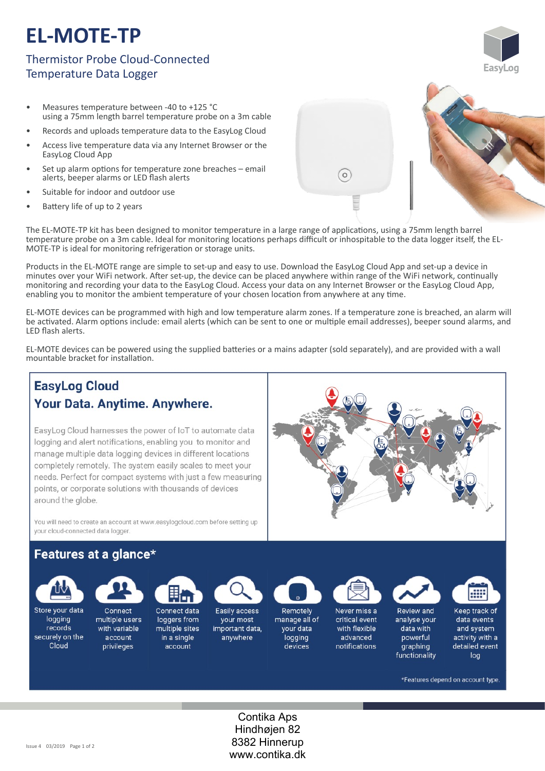# **EL-MOTE-TP**

## Thermistor Probe Cloud-Connected Temperature Data Logger

- Measures temperature between -40 to +125 °C using a 75mm length barrel temperature probe on a 3m cable
- Records and uploads temperature data to the EasyLog Cloud
- Access live temperature data via any Internet Browser or the EasyLog Cloud App
- Set up alarm options for temperature zone breaches email alerts, beeper alarms or LED flash alerts
- Suitable for indoor and outdoor use
- Battery life of up to 2 years

The EL-MOTE-TP kit has been designed to monitor temperature in a large range of applications, using a 75mm length barrel temperature probe on a 3m cable. Ideal for monitoring locations perhaps difficult or inhospitable to the data logger itself, the EL-MOTE-TP is ideal for monitoring refrigeration or storage units.

Products in the EL-MOTE range are simple to set-up and easy to use. Download the EasyLog Cloud App and set-up a device in minutes over your WiFi network. After set-up, the device can be placed anywhere within range of the WiFi network, continually monitoring and recording your data to the EasyLog Cloud. Access your data on any Internet Browser or the EasyLog Cloud App, enabling you to monitor the ambient temperature of your chosen location from anywhere at any time.

EL‐MOTE devices can be programmed with high and low temperature alarm zones. If a temperature zone is breached, an alarm will be activated. Alarm options include: email alerts (which can be sent to one or multiple email addresses), beeper sound alarms, and LED flash alerts.

EL‐MOTE devices can be powered using the supplied ba�eries or a mains adapter (sold separately), and are provided with a wall mountable bracket for installation.

## **EasyLog Cloud** Your Data. Anytime. Anywhere.

EasyLog Cloud harnesses the power of IoT to automate data logging and alert notifications, enabling you to monitor and manage multiple data logging devices in different locations completely remotely. The system easily scales to meet your needs. Perfect for compact systems with just a few measuring points, or corporate solutions with thousands of devices around the globe.

You will need to create an account at www.easylogcloud.com before setting up your cloud-connected data logger.

### Features at a glance\*



logging

records

securely on the

Cloud

Store your data

Connect multiple users with variable multiple sites

account

privileges



in a single

account

Easily access your most important data, anywhere



Remotely manage all of your data logging devices



Never miss a critical event with flexible advanced notifications

Review and analyse your data with powerful graphing

functionality



Keep track of data events and system activity with a detailed event log

\*Features depend on account type.

Contika Aps Hindhøjen 82 8382 Hinnerup www.contika.dk